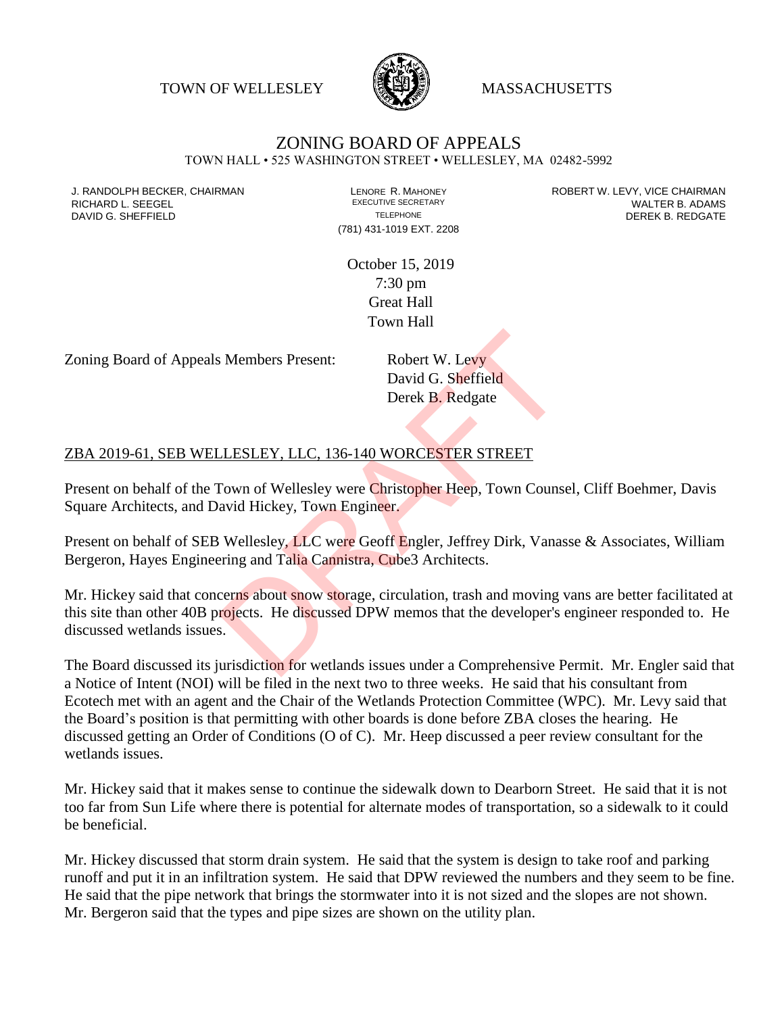TOWN OF WELLESLEY **WASSACHUSETTS** 



## ZONING BOARD OF APPEALS

TOWN HALL • 525 WASHINGTON STREET • WELLESLEY, MA 02482-5992

(781) 431-1019 EXT. 2208

J. RANDOLPH BECKER, CHAIRMAN LAND LENORE R. MAHONEY LEWING AN ANDERT W. LEVY, VICE CHAIRMAN LAND LENORE R. MAHONEY<br>RICHARD L. SFFGFI LADAMS RICHARD L. SEEGEL **EXECUTIVE SECRETARY CONTROLL SEEGETARY** WALTER B. ADAMS DAVID G. SHEFFIELD **TELEPHONE** TELEPHONE TELEPHONE **TELEPHONE DEREK B. REDGATE** 

> October 15, 2019 7:30 pm Great Hall Town Hall

Zoning Board of Appeals Members Present: Robert W. Levy

David G. Sheffield Derek B. Redgate

## ZBA 2019-61, SEB WELLESLEY, LLC, 136-140 WORCESTER STREET

Present on behalf of the Town of Wellesley were Christopher Heep, Town Counsel, Cliff Boehmer, Davis Square Architects, and David Hickey, Town Engineer.

Present on behalf of SEB Wellesley, LLC were Geoff Engler, Jeffrey Dirk, Vanasse & Associates, William Bergeron, Hayes Engineering and Talia Cannistra, Cube3 Architects.

Mr. Hickey said that concerns about snow storage, circulation, trash and moving vans are better facilitated at this site than other 40B projects. He discussed DPW memos that the developer's engineer responded to. He discussed wetlands issues. S Members Present:<br>
David G. Sheffield<br>
Derek B. Redgate<br>
LESLEY, LLC, 136-140 WORCESTER STREET<br>
Town of Wellesley were Christopher Heep, Town Couns<br>
avid Hickey, Town Engineer.<br>
Wellesley, LLC were Geoff Engler, Jeffrey D

The Board discussed its jurisdiction for wetlands issues under a Comprehensive Permit. Mr. Engler said that a Notice of Intent (NOI) will be filed in the next two to three weeks. He said that his consultant from Ecotech met with an agent and the Chair of the Wetlands Protection Committee (WPC). Mr. Levy said that the Board's position is that permitting with other boards is done before ZBA closes the hearing. He discussed getting an Order of Conditions (O of C). Mr. Heep discussed a peer review consultant for the wetlands issues.

Mr. Hickey said that it makes sense to continue the sidewalk down to Dearborn Street. He said that it is not too far from Sun Life where there is potential for alternate modes of transportation, so a sidewalk to it could be beneficial.

Mr. Hickey discussed that storm drain system. He said that the system is design to take roof and parking runoff and put it in an infiltration system. He said that DPW reviewed the numbers and they seem to be fine. He said that the pipe network that brings the stormwater into it is not sized and the slopes are not shown. Mr. Bergeron said that the types and pipe sizes are shown on the utility plan.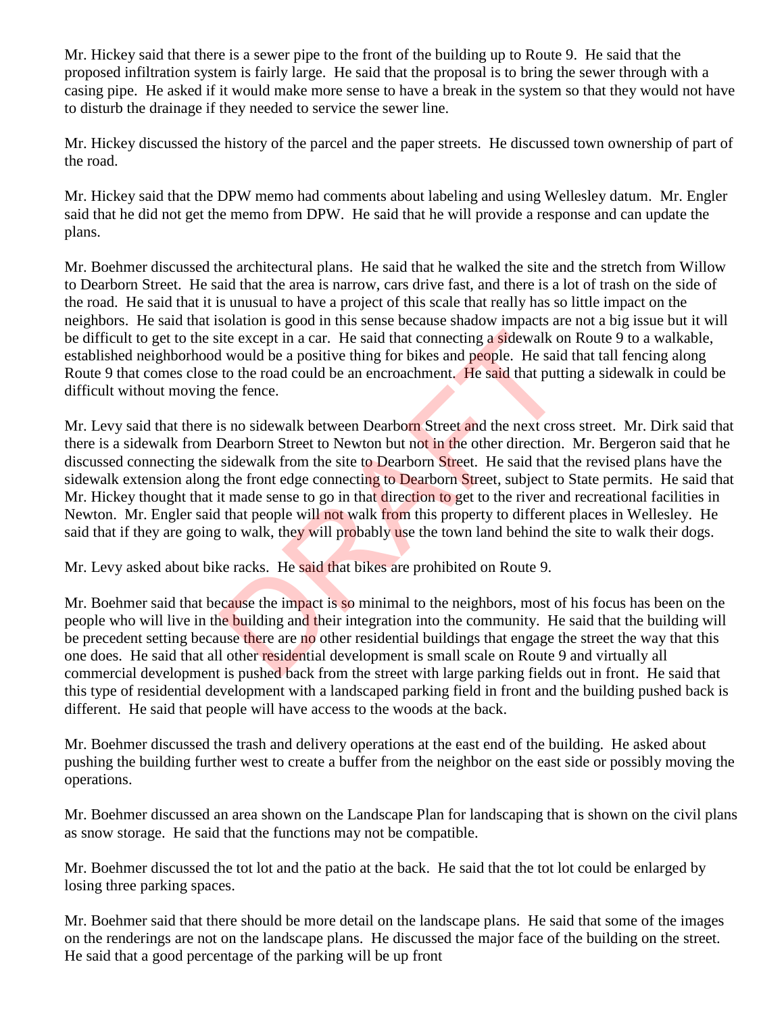Mr. Hickey said that there is a sewer pipe to the front of the building up to Route 9. He said that the proposed infiltration system is fairly large. He said that the proposal is to bring the sewer through with a casing pipe. He asked if it would make more sense to have a break in the system so that they would not have to disturb the drainage if they needed to service the sewer line.

Mr. Hickey discussed the history of the parcel and the paper streets. He discussed town ownership of part of the road.

Mr. Hickey said that the DPW memo had comments about labeling and using Wellesley datum. Mr. Engler said that he did not get the memo from DPW. He said that he will provide a response and can update the plans.

Mr. Boehmer discussed the architectural plans. He said that he walked the site and the stretch from Willow to Dearborn Street. He said that the area is narrow, cars drive fast, and there is a lot of trash on the side of the road. He said that it is unusual to have a project of this scale that really has so little impact on the neighbors. He said that isolation is good in this sense because shadow impacts are not a big issue but it will be difficult to get to the site except in a car. He said that connecting a sidewalk on Route 9 to a walkable, established neighborhood would be a positive thing for bikes and people. He said that tall fencing along Route 9 that comes close to the road could be an encroachment. He said that putting a sidewalk in could be difficult without moving the fence.

Mr. Levy said that there is no sidewalk between Dearborn Street and the next cross street. Mr. Dirk said that there is a sidewalk from Dearborn Street to Newton but not in the other direction. Mr. Bergeron said that he discussed connecting the sidewalk from the site to Dearborn Street. He said that the revised plans have the sidewalk extension along the front edge connecting to Dearborn Street, subject to State permits. He said that Mr. Hickey thought that it made sense to go in that direction to get to the river and recreational facilities in Newton. Mr. Engler said that people will not walk from this property to different places in Wellesley. He said that if they are going to walk, they will probably use the town land behind the site to walk their dogs. ite except in a car. He said that connecting a **sidewalk** of would be a positive thing for bikes and **people**. He said to the road could be an encroachment. He said that puttiful the fence.<br>
is no sidewalk between Dearborn

Mr. Levy asked about bike racks. He said that bikes are prohibited on Route 9.

Mr. Boehmer said that because the impact is so minimal to the neighbors, most of his focus has been on the people who will live in the building and their integration into the community. He said that the building will be precedent setting because there are no other residential buildings that engage the street the way that this one does. He said that all other residential development is small scale on Route 9 and virtually all commercial development is pushed back from the street with large parking fields out in front. He said that this type of residential development with a landscaped parking field in front and the building pushed back is different. He said that people will have access to the woods at the back.

Mr. Boehmer discussed the trash and delivery operations at the east end of the building. He asked about pushing the building further west to create a buffer from the neighbor on the east side or possibly moving the operations.

Mr. Boehmer discussed an area shown on the Landscape Plan for landscaping that is shown on the civil plans as snow storage. He said that the functions may not be compatible.

Mr. Boehmer discussed the tot lot and the patio at the back. He said that the tot lot could be enlarged by losing three parking spaces.

Mr. Boehmer said that there should be more detail on the landscape plans. He said that some of the images on the renderings are not on the landscape plans. He discussed the major face of the building on the street. He said that a good percentage of the parking will be up front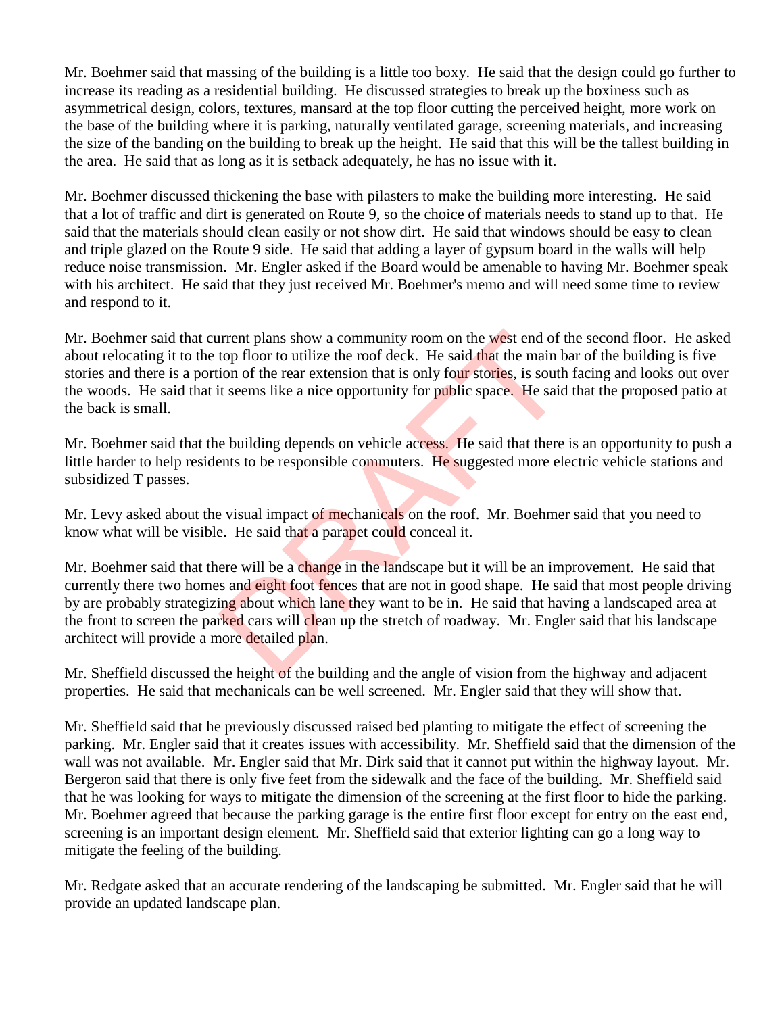Mr. Boehmer said that massing of the building is a little too boxy. He said that the design could go further to increase its reading as a residential building. He discussed strategies to break up the boxiness such as asymmetrical design, colors, textures, mansard at the top floor cutting the perceived height, more work on the base of the building where it is parking, naturally ventilated garage, screening materials, and increasing the size of the banding on the building to break up the height. He said that this will be the tallest building in the area. He said that as long as it is setback adequately, he has no issue with it.

Mr. Boehmer discussed thickening the base with pilasters to make the building more interesting. He said that a lot of traffic and dirt is generated on Route 9, so the choice of materials needs to stand up to that. He said that the materials should clean easily or not show dirt. He said that windows should be easy to clean and triple glazed on the Route 9 side. He said that adding a layer of gypsum board in the walls will help reduce noise transmission. Mr. Engler asked if the Board would be amenable to having Mr. Boehmer speak with his architect. He said that they just received Mr. Boehmer's memo and will need some time to review and respond to it.

Mr. Boehmer said that current plans show a community room on the west end of the second floor. He asked about relocating it to the top floor to utilize the roof deck. He said that the main bar of the building is five stories and there is a portion of the rear extension that is only four stories, is south facing and looks out over the woods. He said that it seems like a nice opportunity for public space. He said that the proposed patio at the back is small. Irrent plans show a community room on the west end of top floor to utilize the roof deck. He said that the main bion of the rear extension that is only four stories, is south it seems like a nice opportunity for public spa

Mr. Boehmer said that the building depends on vehicle access. He said that there is an opportunity to push a little harder to help residents to be responsible commuters. He suggested more electric vehicle stations and subsidized T passes.

Mr. Levy asked about the visual impact of mechanicals on the roof. Mr. Boehmer said that you need to know what will be visible. He said that a parapet could conceal it.

Mr. Boehmer said that there will be a change in the landscape but it will be an improvement. He said that currently there two homes and eight foot fences that are not in good shape. He said that most people driving by are probably strategizing about which lane they want to be in. He said that having a landscaped area at the front to screen the parked cars will clean up the stretch of roadway. Mr. Engler said that his landscape architect will provide a more detailed plan.

Mr. Sheffield discussed the height of the building and the angle of vision from the highway and adjacent properties. He said that mechanicals can be well screened. Mr. Engler said that they will show that.

Mr. Sheffield said that he previously discussed raised bed planting to mitigate the effect of screening the parking. Mr. Engler said that it creates issues with accessibility. Mr. Sheffield said that the dimension of the wall was not available. Mr. Engler said that Mr. Dirk said that it cannot put within the highway layout. Mr. Bergeron said that there is only five feet from the sidewalk and the face of the building. Mr. Sheffield said that he was looking for ways to mitigate the dimension of the screening at the first floor to hide the parking. Mr. Boehmer agreed that because the parking garage is the entire first floor except for entry on the east end, screening is an important design element. Mr. Sheffield said that exterior lighting can go a long way to mitigate the feeling of the building.

Mr. Redgate asked that an accurate rendering of the landscaping be submitted. Mr. Engler said that he will provide an updated landscape plan.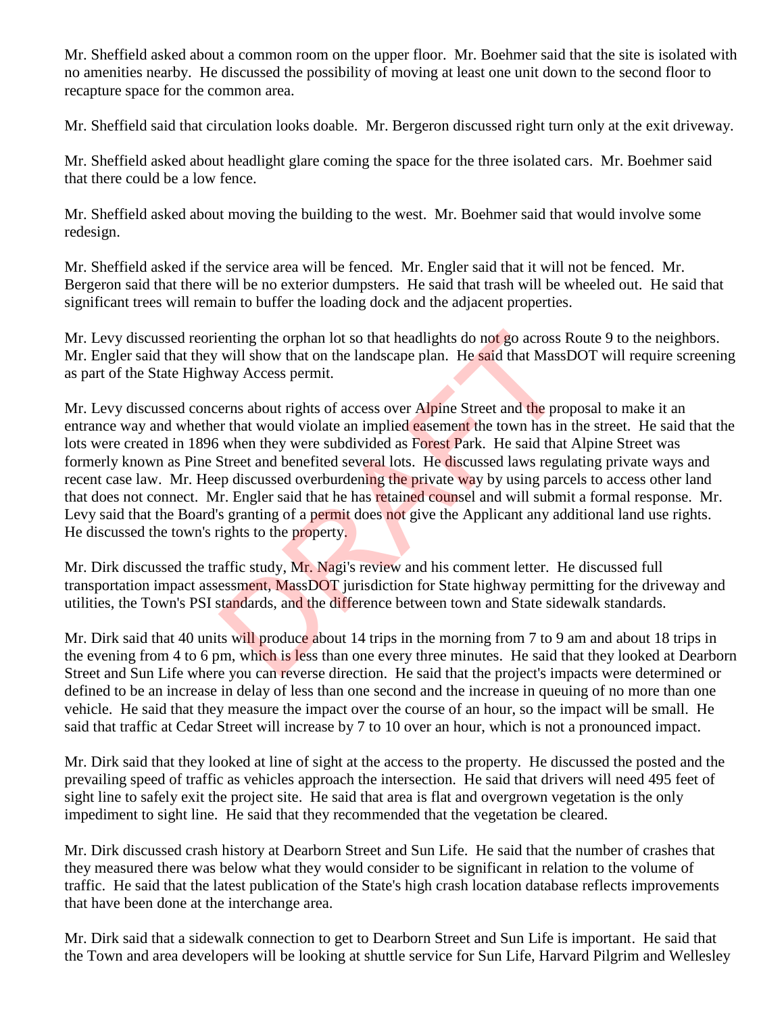Mr. Sheffield asked about a common room on the upper floor. Mr. Boehmer said that the site is isolated with no amenities nearby. He discussed the possibility of moving at least one unit down to the second floor to recapture space for the common area.

Mr. Sheffield said that circulation looks doable. Mr. Bergeron discussed right turn only at the exit driveway.

Mr. Sheffield asked about headlight glare coming the space for the three isolated cars. Mr. Boehmer said that there could be a low fence.

Mr. Sheffield asked about moving the building to the west. Mr. Boehmer said that would involve some redesign.

Mr. Sheffield asked if the service area will be fenced. Mr. Engler said that it will not be fenced. Mr. Bergeron said that there will be no exterior dumpsters. He said that trash will be wheeled out. He said that significant trees will remain to buffer the loading dock and the adjacent properties.

Mr. Levy discussed reorienting the orphan lot so that headlights do not go across Route 9 to the neighbors. Mr. Engler said that they will show that on the landscape plan. He said that MassDOT will require screening as part of the State Highway Access permit.

Mr. Levy discussed concerns about rights of access over Alpine Street and the proposal to make it an entrance way and whether that would violate an implied easement the town has in the street. He said that the lots were created in 1896 when they were subdivided as Forest Park. He said that Alpine Street was formerly known as Pine Street and benefited several lots. He discussed laws regulating private ways and recent case law. Mr. Heep discussed overburdening the private way by using parcels to access other land that does not connect. Mr. Engler said that he has retained counsel and will submit a formal response. Mr. Levy said that the Board's granting of a permit does not give the Applicant any additional land use rights. He discussed the town's rights to the property. enting the orphan lot so that headlights do not go across i<br>will show that on the landscape plan. He said that Mass<br>way Access permit.<br>erns about rights of access over Alpine Street and the pro-<br>r that would violate an imp

Mr. Dirk discussed the traffic study, Mr. Nagi's review and his comment letter. He discussed full transportation impact assessment, MassDOT jurisdiction for State highway permitting for the driveway and utilities, the Town's PSI standards, and the difference between town and State sidewalk standards.

Mr. Dirk said that 40 units will produce about 14 trips in the morning from 7 to 9 am and about 18 trips in the evening from 4 to 6 pm, which is less than one every three minutes. He said that they looked at Dearborn Street and Sun Life where you can reverse direction. He said that the project's impacts were determined or defined to be an increase in delay of less than one second and the increase in queuing of no more than one vehicle. He said that they measure the impact over the course of an hour, so the impact will be small. He said that traffic at Cedar Street will increase by 7 to 10 over an hour, which is not a pronounced impact.

Mr. Dirk said that they looked at line of sight at the access to the property. He discussed the posted and the prevailing speed of traffic as vehicles approach the intersection. He said that drivers will need 495 feet of sight line to safely exit the project site. He said that area is flat and overgrown vegetation is the only impediment to sight line. He said that they recommended that the vegetation be cleared.

Mr. Dirk discussed crash history at Dearborn Street and Sun Life. He said that the number of crashes that they measured there was below what they would consider to be significant in relation to the volume of traffic. He said that the latest publication of the State's high crash location database reflects improvements that have been done at the interchange area.

Mr. Dirk said that a sidewalk connection to get to Dearborn Street and Sun Life is important. He said that the Town and area developers will be looking at shuttle service for Sun Life, Harvard Pilgrim and Wellesley